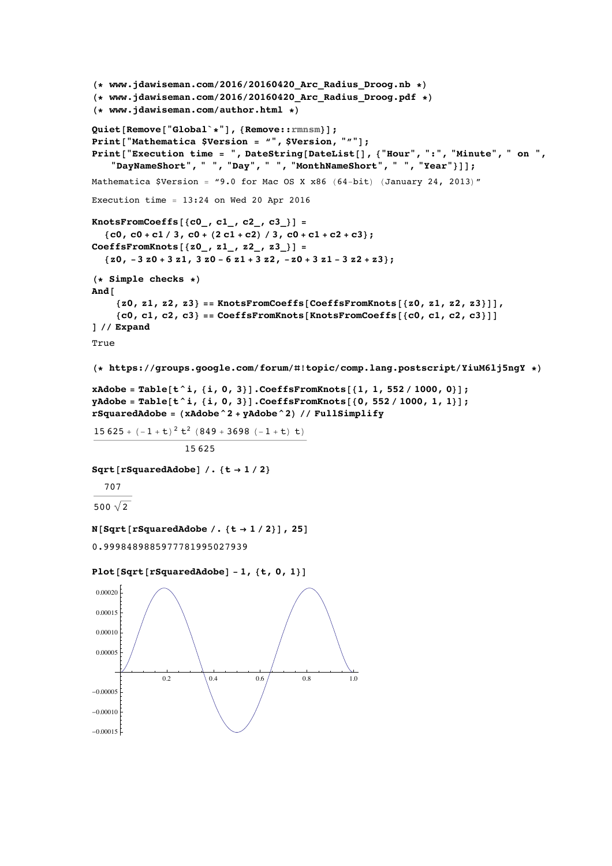```
(* www.jdawiseman.com/2016/20160420_Rrc_Radius_Droog.nb)(* www.jdawiseman.com/2016/20160420br>C. Radius_Droog.pdf *)(* www.jdawiseman.com/author.html (*)Quiet[Remove["Global`*"], {Remove::rmnsm}];
Print["Mathematica $Version = "", $Version, """];
Print["Execution time = ", DateString[DateList[], {"Hour", ":", "Minute", " on ",
    "DayNameShort", " ", "Day", " ", "MonthNameShort", " ", "Year"}]];
Mathematica $Version = "9.0 for Mac OS X x86 (64-bit) (January 24, 2013)"
Execution time = 13:24 on Wed 20 Apr 2016
KnotsFromCoeffs[\{c0, c1, c2, c3 \}] =
  {c0, c0 + c1 / 3, c0 + (2 c1 + c2) / 3, c0 + c1 + c2 + c3};CoeffsFromKnots[{z0, z1, z2, z3]} =
  \{z0, -3 z0 + 3 z1, 3 z0 - 6 z1 + 3 z2, -z0 + 3 z1 - 3 z2 + z3\};(* Simple checks *)And [
    \{z0, z1, z2, z3\} == KnotsFromCoeffs [CoeffsFromKnots [\{z0, z1, z2, z3\}]],
     {c0, c1, c2, c3} = CoeffsFromKnots[KnotsFromCoeffs[{c0, c1, c2, c3}]]]// Expand
True
(* https://groups.google.com/forum/#!topic/comp.lang.postscript/YiuM6lj5ngY *)
xAdobe = Table[t^i, {i, 0, 3}].CoeffsFromKnots[1, 1, 552 / 1000, 0];
\mathbf{y} \mathbf{A}dobe = Table\mathbf{t}^*i, {i, 0, 3} \coeffsFromKnots\mathbf{y}(0, 552 / 1000, 1, 1} \coeffsFromKnots\mathbf{y}rSquaredAdobe = (xAdobe 2 + yAdobe 2) // FullSimplify
15625 + (-1 + t)^{2}t^{2} (849 + 3698 (-1+t) t)
                  15625
Sqrt [rSquaredAdobe] /. \{t \rightarrow 1 / 2\}707
500 \sqrt{2}N[sqrt[r]{5quared}Adobe /. {t \rightarrow 1/2}], 25]
0.9998489885977781995027939
Plot[Sort[rsquaredAdobe] - 1, {t, 0, 1}]0.000200.000150.000100.00005
              0.20.40.60.81.0-0.00005-0.00010
```
 $-0.00015$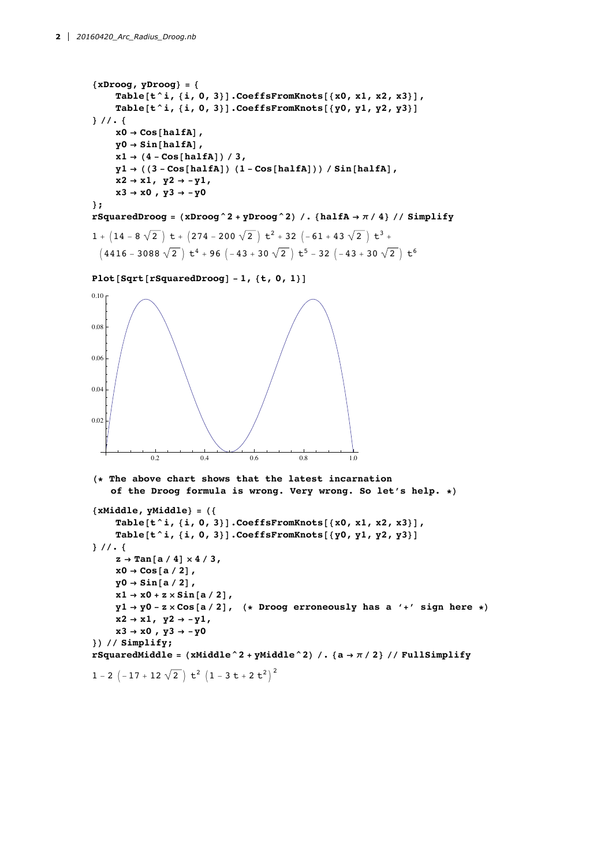```
{xDroog, yDroog} = {Table[t^i, {i, 0, 3}]. CoeffsFromKnots[{x0, x1, x2, x3}],
     Table [t^i, {i, 0, 3}]. CoeffsFromKnots [{y0, y1, y2, y3}]\} //. {
     x0 \rightarrow \cos \left[\text{halfA}\right],
     y0 \rightarrow Sin[halfA],
     x1 \rightarrow (4 - Cos[halfA]) / 3,y1 \rightarrow ((3 - Cos[halfA]) (1 - Cos[halfA])) / Sin[halfA],x2 \rightarrow x1, y2 \rightarrow -y1,
     x3 \rightarrow x0, y3 \rightarrow -y0\} ;
rSquaredDroog = (xDroog^2 + yDroog^2) /. {halfA \rightarrow \pi / 4} // Simplify
```

```
1 + (14 - 8\sqrt{2}) t + (274 - 200\sqrt{2}) t<sup>2</sup> + 32 (-61 + 43\sqrt{2}) t<sup>3</sup> +
  (4416 - 3088 \sqrt{2}) t<sup>4</sup> + 96 (-43 + 30 \sqrt{2}) t<sup>5</sup> - 32 (-43 + 30 \sqrt{2}) t<sup>6</sup>
```

```
Plot [Sqrt [rSquaredDroog] - 1, {t, 0, 1}]
```